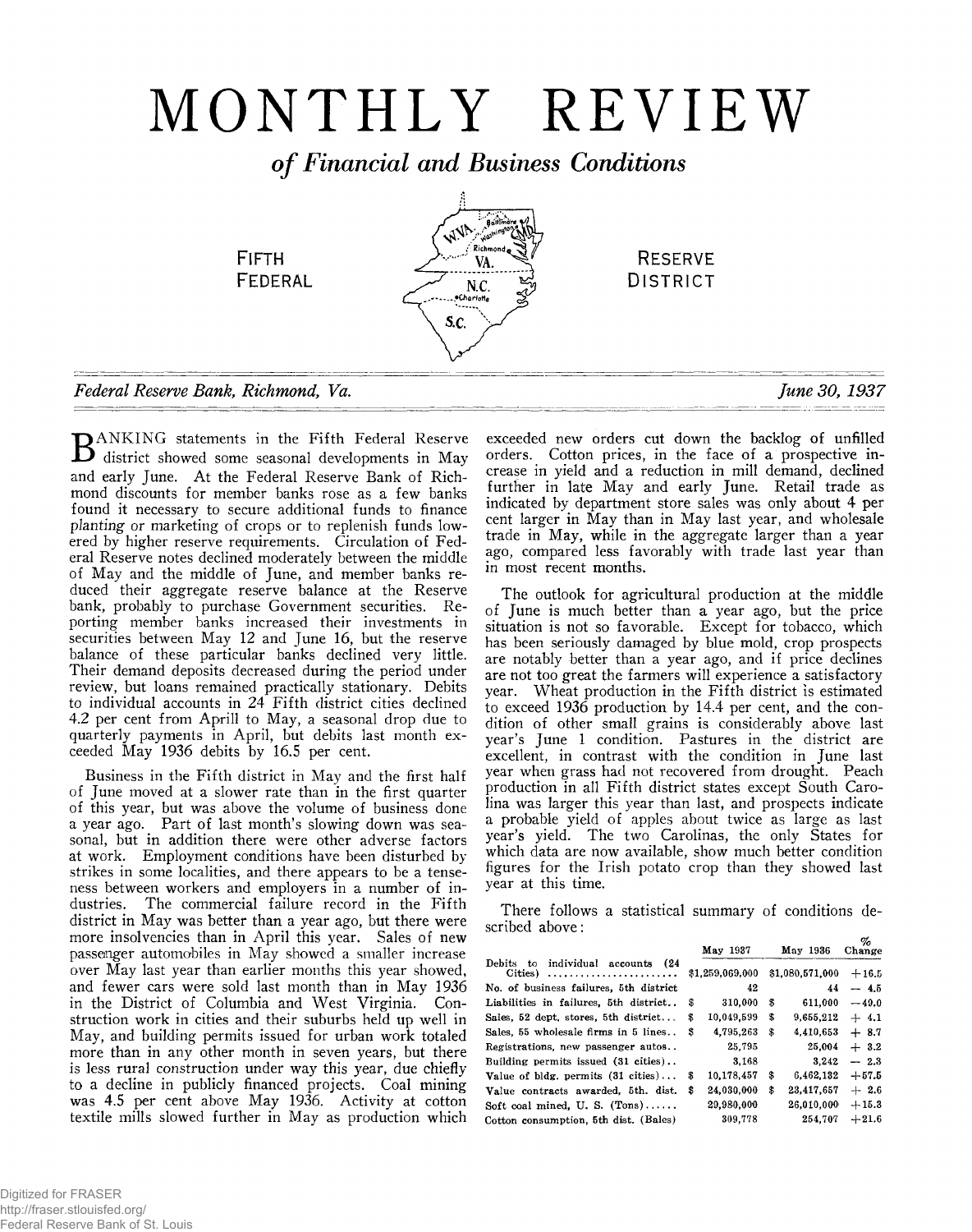# MONTHLY REVIEW

*of Financial and Business Conditions*

.<br>gaidh **AVA FIFTH RESERVE** VA. **FEDERAL D istrict** N.C. Charlotte S.C. *Federal Reserve Bank, Richmond, Va*. *June 30, 1937*

**D**ANKING statements in the Fifth Federal Reserve district showed some seasonal developments in May and early June. At the Federal Reserve Bank of Richmond discounts for member banks rose as a few banks found it necessary to secure additional funds to finance *planting* or marketing of crops or to replenish funds lowered by higher reserve requirements. Circulation of Federal Reserve notes declined moderately between the middle of May and the middle of June, and member banks reduced their aggregate reserve balance at the Reserve bank, probably to purchase Government securities. Reporting member banks increased their investments in securities between May 12 and June 16, but the reserve balance of these particular banks declined very little. Their demand deposits decreased during the period under review, but loans remained practically stationary. Debits to individual accounts in 24 Fifth district cities declined 4.2 per cent from Aprill to May, a seasonal drop due to quarterly payments in April, but debits last month exceeded May 1936 debits by 16.5 per cent.

Business in the Fifth district in May and the first half of June moved at a slower rate than in the first quarter of this year, but was above the volume of business done a year ago. Part of last month's slowing down was seasonal, but in addition there were other adverse factors at work. Employment conditions have been disturbed by strikes in some localities, and there appears to be a tenseness between workers and employers in a number of industries. The commercial failure record in the Fifth district in May was better than a year ago, but there were more insolvencies than in April this year. Sales of new passenger automobiles in May showed a smaller increase over May last year than earlier months this year showed, and fewer cars were sold last month than in May 1936 in the District of Columbia and West Virginia. Construction work in cities and their suburbs held up well in May, and building permits issued for urban work totaled more than in any other month in seven years, but there is less rural construction under way this year, due chiefly to a decline in publicly financed projects. Coal mining was 4.5 per cent above May 1936. Activity at cotton textile mills slowed further in May as production which

exceeded new orders cut down the backlog of unfilled orders. Cotton prices, in the face of a prospective increase in yield and a reduction in mill demand, declined further in late May and early June. Retail trade as indicated by department store sales was only about 4 per cent larger in May than in May last year, and wholesale trade in May, while in the aggregate larger than a year ago, compared less favorably with trade last year than in most recent months.

The outlook for agricultural production at the middle of June is much better than a year ago, but the price situation is not so favorable. Except for tobacco, which has been seriously damaged by blue mold, crop prospects are notably better than a year ago, and if price declines are not too great the farmers will experience a satisfactory year. Wheat production in the Fifth district is estimated to exceed 1936 production by 14.4 per cent, and the condition of other small grains is considerably above last year's June 1 condition. Pastures in the district are excellent, in contrast with the condition in June last year when grass had not recovered from drought. Peach production in all Fifth district states except South Carolina was larger this year than last, and prospects indicate a probable yield of apples about twice as large as last year's yield. The two Carolinas, the only States for which data are now available, show much better condition figures for the Irish potato crop than they showed last year at this time.

There follows a statistical summary of conditions described above:

**Debits to individual accounts (24 Cities) ............................................ No. of business failures, 5th district Liabilities in failures, 5th district..** Sales, 52 dept, stores, 5th district... **Sales, 55 wholesale firms in 5 lines.. Registrations, new passenger autos.. Building permits issued (31 cities).. Value of bldg. permits (31 cities). .. Value contracts awarded, 5th. dist.** Soft coal mined, U.S. (Tons)...... **Cotton consumption, 5th dist. (Bales)**

|    | May 1937        | May 1936         | Ψn<br>Change |
|----|-----------------|------------------|--------------|
|    | \$1,259,069,000 | \$1,080,571,000  | $+16.5$      |
|    | 42              | 44               | $-4.5$       |
| \$ | 310,000         | \$<br>611,000    | $-49.0$      |
| \$ | 10,049,599      | \$<br>9,655,212  | $+4.1$       |
| S  | 4,795,263       | \$<br>4,410,653  | $+8.7$       |
|    | 25.795          | 25.004           | $+3.2$       |
|    | 3,168           | 3,242            | $-2.3$       |
| \$ | 10,178,457      | \$<br>6,462,132  | $+57.5$      |
| \$ | 24,030,000      | \$<br>23,417,657 | $+2.6$       |
|    | 29,980,000      | 26,010,000       | $+15.3$      |
|    | 309,778         | 254,707          | $+21.6$      |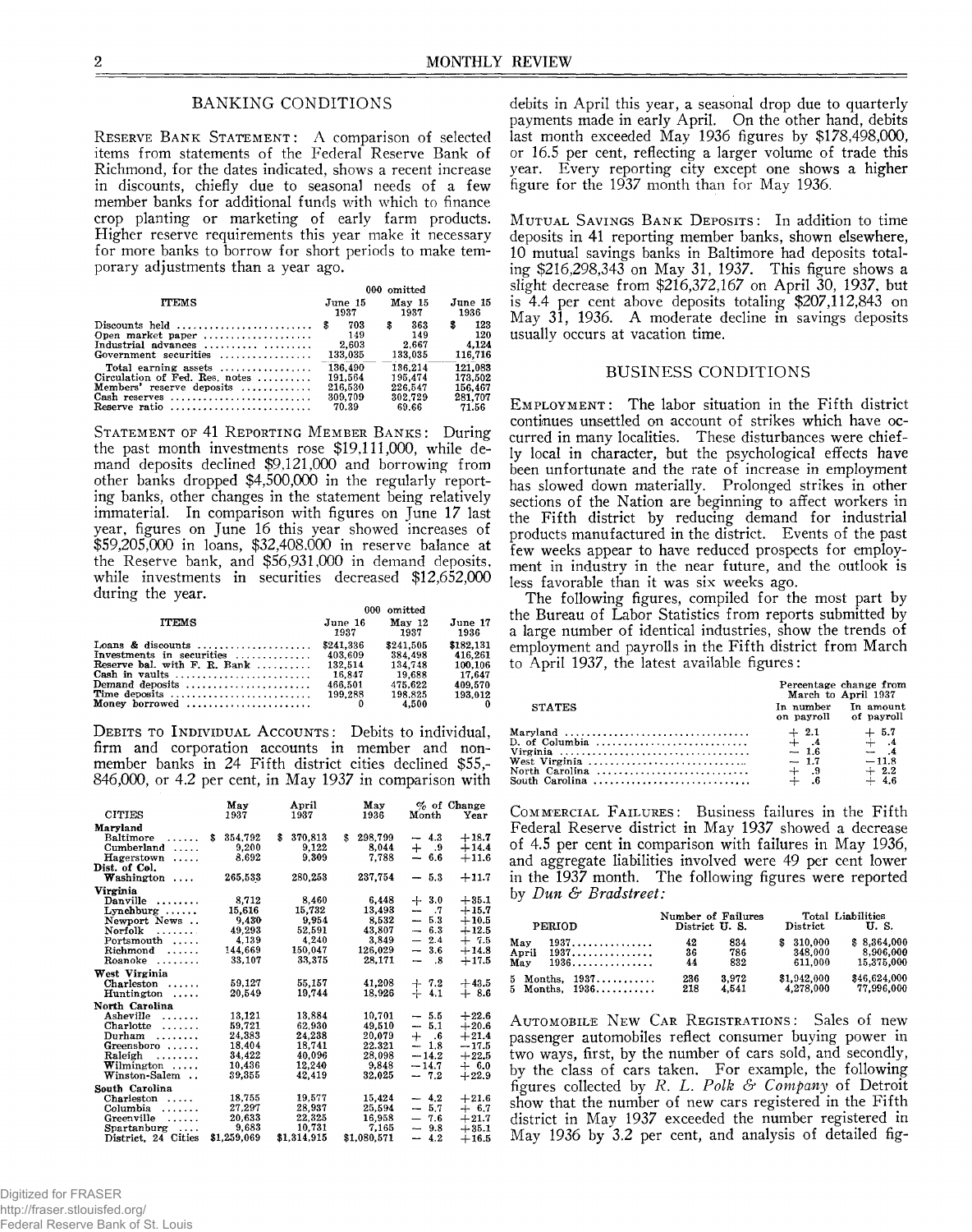## BANKING CONDITIONS

**RESERVE BANK STATEMENT:** A comparison of selected items from statements of the Federal Reserve Bank of Richmond, for the dates indicated, shows a recent increase in discounts, chiefly due to seasonal needs of a few member banks for additional funds with which to finance crop planting or marketing of early farm products. Higher reserve requirements this year make it necessary for more banks to borrow for short periods to make temporary adjustments than a year ago.

|                                                                                                                                                   | 000 omitted |                                                   |    |                                                   |   |                                                   |
|---------------------------------------------------------------------------------------------------------------------------------------------------|-------------|---------------------------------------------------|----|---------------------------------------------------|---|---------------------------------------------------|
| <b>ITEMS</b>                                                                                                                                      |             | June 15<br>1937                                   |    | May 15<br>1937                                    |   | June 15<br>1936                                   |
| Discounts held $\ldots, \ldots, \ldots, \ldots, \ldots$<br>Open market paper<br>Industrial advances<br>Government securities                      |             | 703<br>149<br>2.603<br>133,035                    | \$ | 363<br>149<br>2.667<br>133.035                    | 3 | 123<br>120<br>4.124<br>116,716                    |
| Total earning assets $\dots\dots\dots\dots\dots$<br>Circulation of Fed. Res. notes<br>Members' reserve deposits<br>Cash reserves<br>Reserve ratio |             | 136,490<br>191.564<br>216,530<br>309.709<br>70.39 |    | 136.214<br>195.474<br>226.547<br>302.729<br>69.66 |   | 121.083<br>173,502<br>156.467<br>281.707<br>71.56 |

**STATEMENT OF 41 REPORTING MEMBER BANKS: During** the past month investments rose \$19,111,000, while demand deposits declined \$9,121,000 and borrowing from other banks dropped \$4,500,000 in the regularly reporting banks, other changes in the statement being relatively immaterial. In comparison with figures on June 17 last year, figures on June 16 this year showed increases of \$59,205,000 in loans, \$32,408,000 in reserve balance at the Reserve bank, and \$56,931,000 in demand deposits, while investments in securities decreased \$12,652,000 during the year.

|                                | 000 omitted     |                           |                 |  |
|--------------------------------|-----------------|---------------------------|-----------------|--|
| <b>ITEMS</b>                   | June 16<br>1937 | Mav <sub>12</sub><br>1937 | June 17<br>1936 |  |
|                                | \$241.336       | \$241.505                 | \$182,131       |  |
| Investments in securities      | 403.609         | 384.498                   | 416.261         |  |
| Reserve bal. with $F. R. Bank$ | 132.514         | 134,748                   | 100,106         |  |
| Cash in vaults                 | 16.847          | 19.688                    | 17.647          |  |
| Demand deposits                | 466.501         | 475.622                   | 409.570         |  |
| Time deposits                  | 199.288         | 198.825                   | 193.012         |  |
| Money borrowed                 |                 | 4.500                     |                 |  |

**DEBITS TO INDIVIDUAL ACCOUNTS:** Debits to individual, firm and corporation accounts in member and nonmember banks in 24 Fifth district cities declined \$55,- 846,000, or 4.2 per cent, in May 1937 in comparison with

|                        | May         | April         |     | May         |                          |         | $\%$ of Change |
|------------------------|-------------|---------------|-----|-------------|--------------------------|---------|----------------|
| <b>CITIES</b>          | 1937        | 1937          |     | 1936        |                          | Month   | Year           |
| Maryland               |             |               |     |             |                          |         |                |
| \$<br>Baltimore<br>.   | 354,792     | \$<br>370,813 | \$. | 298,799     |                          | $-4.3$  | $+18.7$        |
| Cumberland             | 9.200       | 9.122         |     | 8.044       |                          | $+$ .9  | $+14.4$        |
| Hagerstown<br>$\cdots$ | 8.692       | 9,309         |     | 7.788       | $\overline{\phantom{0}}$ | 6.6     | $+11.6$        |
| Dist. of Col.          |             |               |     |             |                          |         |                |
| $W$ ashington          | 265,533     | 280,253       |     | 237.754     |                          | $-5.3$  | $+11.7$        |
|                        |             |               |     |             |                          |         |                |
| Virginia               |             |               |     |             |                          |         |                |
| Danville<br>.          | 8,712       | 8.460         |     | 6.448       |                          | $+3.0$  | $+35.1$        |
| $Lynchburg \ldots$ .   | 15.616      | 15.732        |     | 13,493      |                          | - .7    | $+15.7$        |
| Newport News           | 9.430       | 9.954         |     | 8.532       |                          | $-53$   | $+10.5$        |
| Norfolk                | 49,293      | 52.591        |     | 43.807      |                          | $-6.3$  | $+12.5$        |
| $Portsmooth$ ,         | 4.139       | 4.240         |     | 3.849       |                          | $-2.4$  | $+7.5$         |
| $Richard$ ,            | 144.669     | 150.047       |     | 126.029     |                          | $-3.6$  | $+14.8$        |
| Roanoke                | 33.107      | 33,375        |     | 28.171      | $\overline{\phantom{0}}$ | .8      | $+17.5$        |
| West Virginia          |             |               |     |             |                          |         |                |
| Charleston             | 59,127      | 55,157        |     | 41,208      |                          | $+7.2$  | $+43.5$        |
| $H$ untington $\ldots$ | 20,549      | 19.744        |     | 18.926      |                          | $+4.1$  | $+8.6$         |
| North Carolina         |             |               |     |             |                          |         |                |
| Asheville<br>.         | 13,121      | 13.884        |     | 10.701      |                          | $-5.5$  | $+22.6$        |
| Charlotte<br>.         | 59,721      | 62.930        |     | 49.510      |                          | $-5.1$  | $+20.6$        |
| Durham                 | 24,383      | 24,238        |     | 20,079      |                          | $+$ .6  | $+21.4$        |
| Greensboro             | 18,404      | 18,741        |     | 22.321      |                          | $-1.8$  | $-17.5$        |
| Raleigh<br>.           | 34,422      | 40,096        |     | 28,098      |                          | $-14.2$ | $+22.5$        |
| ${\bf W}$ ilmington    | 10.436      | 12.240        |     | 9.848       |                          | $-14.7$ | $+ 6.0$        |
| Winston-Salem          | 39,355      | 42,419        |     | 32.025      |                          | $-7.2$  | $+22.9$        |
| South Carolina         |             |               |     |             |                          |         |                |
| Charleston<br>.        | 18,755      | 19,577        |     | 15,424      |                          | $-4.2$  | $+21.6$        |
| Columbia<br>.          | 27.297      | 28.937        |     | 25.594      |                          | $-5.7$  | $+ 6.7$        |
| Greenville<br>.        | 20.633      | 22,325        |     | 16.958      |                          | $-7.6$  | $+21.7$        |
| $Spartanburg \ldots$   | 9,683       | 10.731        |     | 7.165       |                          | $-9.8$  | $+35.1$        |
| District, 24 Cities    | \$1,259,069 | \$1,314,915   |     | \$1,080,571 |                          | $-4.2$  | $+16.5$        |

debits in April this year, a seasonal drop due to quarterly payments made in early April. On the other hand, debits last month exceeded May 1936 figures by \$178,498,000, or 16.5 per cent, reflecting a larger volume of trade this year. Every reporting city except one shows a higher figure for the 1937 month than for May 1936.

MUTUAL SAVINGS BANK DEPOSITS: In addition to time deposits in 41 reporting member banks, shown elsewhere, 10 mutual savings banks in Baltimore had deposits totaling \$216,298,343 on May 31, 1937. This figure shows a slight decrease from \$216,372,167 on April 30, 1937, but is 4.4 per cent above deposits totaling  $$207,112,843$  on May 31, 1936. A moderate decline in savings deposits usually occurs at vacation time.

## BUSINESS CONDITIONS

EMPLOYMENT: The labor situation in the Fifth district continues unsettled on account of strikes which have occurred in many localities. These disturbances were chiefly local in character, but the psychological effects have been unfortunate and the rate of increase in employment has slowed down materially. Prolonged strikes in other sections of the Nation are beginning to affect workers in the Fifth district by reducing demand for industrial products manufactured in the district. Events of the past few weeks appear to have reduced prospects for employment in industry in the near future, and the outlook is less favorable than it was six weeks ago.

The following figures, compiled for the most part by the Bureau of Labor Statistics from reports submitted by a large number of identical industries, show the trends of employment and payrolls in the Fifth district from March to April 1937, the latest available figures:

|                                                                               |                                              | Percentage change from<br>March to April 1937              |
|-------------------------------------------------------------------------------|----------------------------------------------|------------------------------------------------------------|
| <b>STATES</b>                                                                 | In number In amount<br>on payroll of payroll |                                                            |
| Maryland<br>North Carolina $\ldots \ldots \ldots \ldots \ldots \ldots \ldots$ | $\begin{array}{cc} 0.9 \\ + .6 \end{array}$  | $+ 5.7$<br>$+ 4$<br>$- 4$<br>$-11.8$<br>$+$ 2.2<br>$+$ 4.6 |

COMMERCIAL FAILURES: Business failures in the Fifth Federal Reserve district in May 1937 showed a decrease of 4.5 per cent in comparison with failures in May 1936, and aggregate liabilities involved were 49 per cent lower in the 1937 month. The following figures were reported by *Dun & Bradstreet:*

|                     | <b>PERIOD</b> |                                      | District U.S.  | Number of Failures | District                            | Total Liabilities<br><b>U.S.</b>       |
|---------------------|---------------|--------------------------------------|----------------|--------------------|-------------------------------------|----------------------------------------|
| May<br>April<br>May |               | 1937.<br>1937.<br>1936.              | 42<br>36<br>44 | 834<br>786<br>832  | 310.000<br>s.<br>348.000<br>611.000 | \$8,364,000<br>8.906.000<br>15.375.000 |
|                     |               | $5$ Months, $1937$<br>5 Months, 1936 | 236<br>218     | 3.972<br>4,541     | \$1,942,000<br>4.278.000            | \$46.624.000<br>77.996.000             |

AUTOMOBILE NEW CAR REGISTRATIONS: Sales of new passenger automobiles reflect consumer buying power in two ways, first, by the number of cars sold, and secondly, by the class of cars taken. For example, the following figures collected by *R. L. Polk & Company* of Detroit show that the number of new cars registered in the Fifth district in May 1937 exceeded the number registered in May 1936 by 3.2 per cent, and analysis of detailed fig-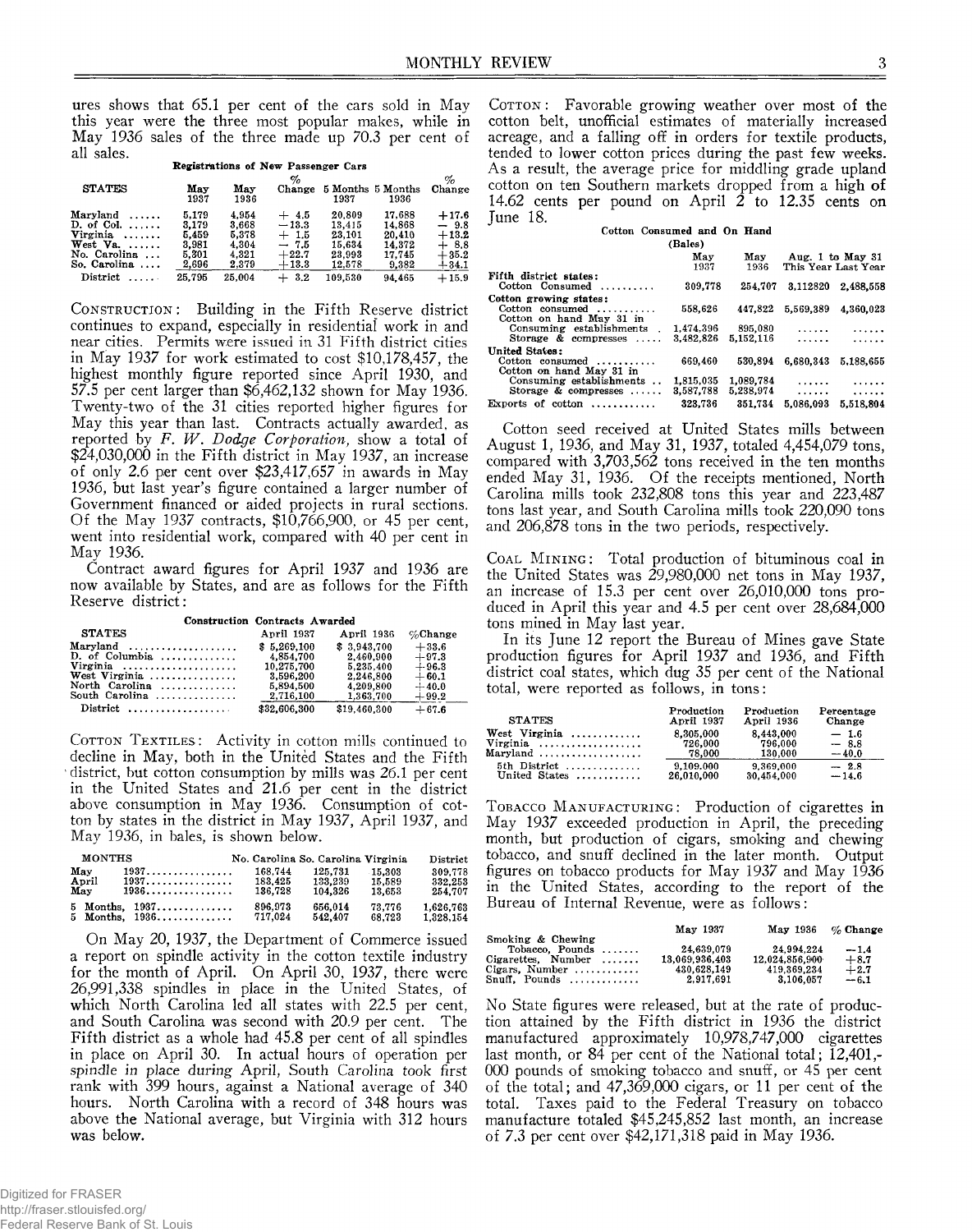ures shows that 65.1 per cent of the cars sold in May this year were the three most popular makes, while in May 1936 sales of the three made up 70.3 per cent of all sales.

| an saics.             |             |             |                                     |         |                           |         |
|-----------------------|-------------|-------------|-------------------------------------|---------|---------------------------|---------|
|                       |             |             | Registrations of New Passenger Cars |         |                           |         |
|                       |             |             | %                                   |         |                           | $\%$    |
| <b>STATES</b>         | May<br>1937 | Mav<br>1936 | Change                              | 1937    | 5 Months 5 Months<br>1936 | Change  |
| Maryland<br>1.1.1.1.1 | 5.179       | 4.954       | $+4.5$                              | 20,809  | 17.688                    | $+17.6$ |
| D. of Col. $\ldots$ . | 3.179       | 3.668       | $-13.3$                             | 13.415  | 14.868                    | $-9.8$  |
| Virginia              | 5.459       | 5,378       | $+1.5$                              | 23.101  | 20.410                    | $+13.2$ |
| West $Va. \ldots$ .   | 3.981       | 4.304       | $-7.5$                              | 15.634  | 14.372                    | $+8.8$  |
| No. Carolina          | 5.301       | 4.321       | $+22.7$                             | 23,993  | 17.745                    | $+35.2$ |
| So. Carolina $\ldots$ | 2,696       | 2.379       | $+13.3$                             | 12,578  | 9,382                     | $+34.1$ |
| District<br>1.1.1.1   | 25.795      | 25.004      | 3.2<br>$+$                          | 109.530 | 94.465                    | $+15.9$ |

CONSTRUCTION: Building in the Fifth Reserve district continues to expand, especially in residential work in and near cities. Permits were issued in 31 Fifth district cities in May 1937 for work estimated to cost \$10,178,457, the highest monthly figure reported since April 1930, and 57.5 per cent larger than \$6,462,132 shown for May 1936. Twenty-two of the 31 cities reported higher figures for May this year than last. Contracts actually awarded, as reported by *F. W. Dodge Corporation,* show a total of \$24,030,000 in the Fifth district in May 1937, an increase of only 2.6 per cent over \$23,417,657 in awards in May 1936, but last year's figure contained a larger number of Government financed or aided projects in rural sections. Of the May 1937 contracts, \$10,766,900, or 45 per cent, went into residential work, compared with 40 per cent in May 1936.

Contract award figures for April 1937 and 1936 are now available by States, and are as follows for the Fifth Reserve district:

|                                                | <b>Construction Contracts Awarded</b> |              |             |  |  |
|------------------------------------------------|---------------------------------------|--------------|-------------|--|--|
| <b>STATES</b>                                  | April 1937                            | April 1936   | $\%$ Change |  |  |
| $Marvland \dots \dots \dots \dots \dots \dots$ | \$5,269,100                           | \$3.943.700  | $+33.6$     |  |  |
| $D.$ of Columbia                               | 4.854.700                             | 2.460.900    | $+97.3$     |  |  |
| Virginia                                       | 10,275,700                            | 5.235.400    | $+96.3$     |  |  |
| West Virginia                                  | 3.596.200                             | 2,246.800    | $+60.1$     |  |  |
| North Carolina                                 | 5,894,500                             | 4,209,800    | $+40.0$     |  |  |
| South Carolina $\ldots, \ldots, \ldots$        | 2,716,100                             | 1,363,700    | $+99.2$     |  |  |
|                                                | \$32,606,300                          | \$19,460,300 | $+67.6$     |  |  |

**COTTON TEXTILES:** Activity in cotton mills continued to decline in May, both in the United States and the Fifth district, but cotton consumption by mills was 26.1 per cent in the United States and 21.6 per cent in the district above consumption in May 1936. Consumption of cotton by states in the district in May 1937, April 1937, and May 1936, in bales, is shown below.

| <b>MONTHS</b> |                                                  | No. Carolina So. Carolina Virginia |         |         | District  |
|---------------|--------------------------------------------------|------------------------------------|---------|---------|-----------|
| May           | $1937\ldots\ldots\ldots\ldots\ldots\ldots\ldots$ | 168.744                            | 125.731 | -15.303 | 309.778   |
| April         | 1937.                                            | 183.425                            | 133.239 | 15.589  | 332,253   |
| May           | 1936.                                            | 136,728                            | 104.326 | 13.653  | 254.707   |
|               | 5 Months, 1937                                   | 896,973                            | 656.014 | 73.776  | 1.626.763 |
|               | 5 Months, $1936$                                 | 717.024                            | 542.407 | 68.723  | 1.328.154 |

On May 20, 1937, the Department of Commerce issued a report on spindle activity in the cotton textile industry for the month of April. On April 30, 1937, there were 26,991,338 spindles in place in the United States, of which North Carolina led all states with 22.5 per cent, and South Carolina was second with 20.9 per cent. The Fifth district as a whole had 45.8 per cent of all spindles in place on April 30. In actual hours of operation per spindle *in place during* April, South Carolina took first rank with 399 hours, against a National average of 340 hours. North Carolina with a record of 348 hours was above the National average, but Virginia with 312 hours was below.

COTTON: Favorable growing weather over most of the cotton belt, unofficial estimates of materially increased acreage, and a falling off in orders for textile products, tended to lower cotton prices during the past few weeks. As a result, the average price for middling grade upland cotton on ten Southern markets dropped from a high of 14.62 cents per pound on April  $2$  to 12.35 cents on June 18.

**Cotton Consumed and On Hand**

|                                  | (Bales)   |             |                     |           |
|----------------------------------|-----------|-------------|---------------------|-----------|
|                                  | May       | May         | Aug. 1 to May 31    |           |
|                                  | 1937      | 1936        | This Year Last Year |           |
| Fifth district states:           |           |             |                     |           |
| Cotton Consumed                  | 309,778   | 254.707     | 3,112820            | 2.488.558 |
| Cotton growing states:           |           |             |                     |           |
| Cotton consumed                  | 558,626   | 447.822     | 5,569,389           | 4,360,023 |
| Cotton on hand May 31 in         |           |             |                     |           |
| Consuming establishments.        | 1,474,396 | 895,080     | .                   |           |
| Storage $\&$ compresses $\ldots$ | 3.482.826 | 5, 152, 116 | .                   |           |
| <b>United States:</b>            |           |             |                     |           |
| $\text{Cotton}$ consumed         | 669.460   | 530.894     | 6.680.343           | 5.188.655 |
| Cotton on hand May 31 in         |           |             |                     |           |
| Consuming establishments         | 1,815,035 | 1,089.784   | .                   |           |
| Storage & compresses             | 3.587.788 | 5.238.974   | .                   | .         |
| Exports of cotton $,,$           | 323.736   | 351.734     | 5.086.093           | 5,518,804 |

Cotton seed received at United States mills between August 1, 1936, and May 31, 1937, totaled 4,454,079 tons, compared with 3,703,562 tons received in the ten months ended May 31, 1936. Of the receipts mentioned, North Carolina mills took 232,808 tons this year and 223,487 tons last year, and South Carolina mills took 220,090 tons and 206,878 tons in the two periods, respectively.

COAL MINING: Total production of bituminous coal in the United States was 29,980,000 net tons in May 1937, an increase of 15.3 per cent over 26,010,000 tons produced in April this year and 4.5 per cent over 28,684,000 tons mined in May last year.

In its June 12 report the Bureau of Mines gave State production figures for April 1937 and 1936, and Fifth district coal states, which dug 35 per cent of the National total, were reported as follows, in tons:

| <b>STATES</b>                        | Production<br>April 1937 | Production<br>April 1936 | Percentage<br>Change |
|--------------------------------------|--------------------------|--------------------------|----------------------|
| West Virginia $\ldots \ldots \ldots$ | 8.305.000                | 8,443,000                | $-1.6$               |
| Virginia                             | 726.000                  | 796.000                  | $-8.8$               |
| Maryland $\ldots$                    | 78.000                   | 130.000                  | $-40.0$              |
| 5th District<br>United States        | 9.109.000<br>26,010,000  | 9,369,000<br>30.454.000  | $-2.8$<br>$-14.6$    |

TOBACCO MANUFACTURING: Production of cigarettes in May 1937 exceeded production in April, the preceding month, but production of cigars, smoking and chewing tobacco, and snuff declined in the later month. Output figures on tobacco products for May 1937 and May 1936 in the United States, according to the report of the Bureau of Internal Revenue, were as follows:

|                          | May 1937       | May 1936       | $\%$ Change |
|--------------------------|----------------|----------------|-------------|
| Smoking & Chewing        |                |                |             |
| Tobacco. Pounds $\ldots$ | 24.639.079     | 24.994.224     | $-1.4$      |
| $Cigareites$ , Number    | 13.069.936.403 | 12.024.856.900 | $+8.7$      |
| Cigars. Number           | 430.628.149    | 419.369.234    | $+2.7$      |
| $Snuff$ , Pounds         | 2.917.691      | 3.106.057      | $-6.1$      |

No State figures were released, but at the rate of production attained by the Fifth district in 1936 the district manufactured approximately 10,978,747,000 cigarettes last month, or 84 per cent of the National total; 12,401,-000 pounds of smoking tobacco and snuff, or 45 per cent of the total; and 47,369,000 cigars, or 11 per cent of the total. Taxes paid to the Federal Treasury on tobacco manufacture totaled \$45,245,852 last month, an increase of 7.3 per cent over \$42,171,318 paid in May 1936.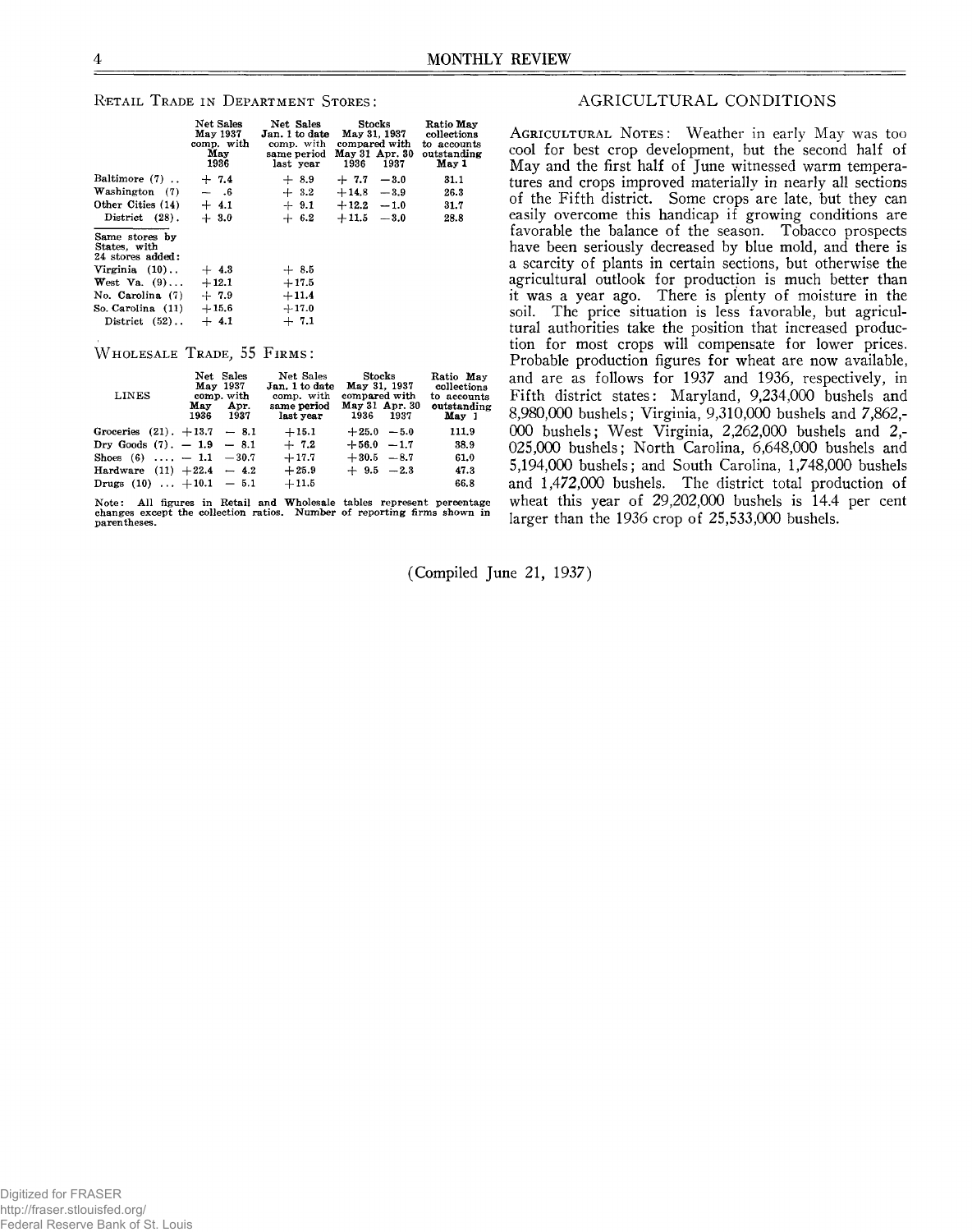## **RETAIL TRADE IN DEPARTMENT STORES:**

|                                                    | Net Sales<br>May 1937<br>comp. with<br>May<br>1936 | Net Sales<br>Jan. 1 to date<br>comp. with<br>same period<br>last year | Stocks<br>May 31, 1937<br>compared with<br>May 31 Apr. 30<br>1936<br>1937 | Ratio May<br>collections<br>to accounts<br>outstanding<br>May 1 |
|----------------------------------------------------|----------------------------------------------------|-----------------------------------------------------------------------|---------------------------------------------------------------------------|-----------------------------------------------------------------|
| Baltimore (7)                                      | $+7.4$                                             | $+8.9$                                                                | $+7.7 - 3.0$                                                              | 31.1                                                            |
| Washington (7)                                     | $-$ .6                                             | $+3.2$                                                                | $+14.8 - 3.9$                                                             | 26.3                                                            |
| Other Cities (14)                                  | $+4.1$                                             | $+9.1$                                                                | $+12.2 - 1.0$                                                             | 31.7                                                            |
| District (28).                                     | $+3.0$                                             | $+ 6.2$                                                               | $+11.5 - 3.0$                                                             | 28.8                                                            |
| Same stores by<br>States, with<br>24 stores added: |                                                    |                                                                       |                                                                           |                                                                 |
| Virginia $(10)$                                    | $+4.3$                                             | $+8.5$                                                                |                                                                           |                                                                 |
| West Va. $(9)$                                     | $+12.1$                                            | $+17.5$                                                               |                                                                           |                                                                 |
| No. Carolina (7)                                   | $+7.9$                                             | $+11.4$                                                               |                                                                           |                                                                 |
| So. Carolina (11)                                  | $+15.6$                                            | $+17.0$                                                               |                                                                           |                                                                 |
| District (52)                                      | $+4.1$                                             | $+7.1$                                                                |                                                                           |                                                                 |

## $W$  **HOLESALE** TRADE, 55 FIRMS:

| <b>LINES</b>                   | May | Net Sales<br>May 1937<br>comp. with<br>Apr.<br>1936 1937 | Net Sales<br>Jan. 1 to date<br>comp. with<br>same period<br>last year | Stocks<br>May 31, 1937<br>compared with<br>1936 1937 | May 31 Apr. 30 | Ratio May<br>collections<br>to accounts<br>outstanding<br>May 1 |
|--------------------------------|-----|----------------------------------------------------------|-----------------------------------------------------------------------|------------------------------------------------------|----------------|-----------------------------------------------------------------|
| Groceries $(21)$ . +13.7 - 8.1 |     |                                                          | $+15.1$                                                               | $+25.0 - 5.0$                                        |                | 111.9                                                           |
| Dry Goods $(7)$ . $-1.9 - 8.1$ |     |                                                          | $+7.2$                                                                | $+56.0 -1.7$                                         |                | 38.9                                                            |
| Shoes $(6)$ , $-1.1$ $-30.7$   |     |                                                          | $+17.7$                                                               | $+30.5 -8.7$                                         |                | 61.0                                                            |
| Hardware $(11) + 22.4 - 4.2$   |     |                                                          | $+25.9$                                                               | $+ 9.5 -2.3$                                         |                | 47.3                                                            |
| Drugs $(10)$ $+10.1$ - 5.1     |     |                                                          | $+11.5$                                                               |                                                      |                | 66.8                                                            |

**Note: All figures in Retail and Wholesale tables represent percentage changes except the collection ratios. Number of reporting firms shown in parentheses.**

# AGRICULTURAL CONDITIONS

**AGRICULTURAL NOTES:** Weather in early May was too cool for best crop development, but the second half of May and the first half of June witnessed warm temperatures and crops improved materially in nearly all sections of the Fifth district. Some crops are late, but they can easily overcome this handicap if growing conditions are favorable the balance of the season. Tobacco prospects have been seriously decreased by blue mold, and there is a scarcity of plants in certain sections, but otherwise the agricultural outlook for production is much better than it was a year ago. There is plenty of moisture in the soil. The price situation is less favorable, but agricultural authorities take the position that increased production for most crops will compensate for lower prices. Probable production figures for wheat are now available, and are as follows for 1937 and 1936, respectively, in Fifth district states: Maryland, 9,234,000 bushels and 8.980.000 bushels; Virginia, 9,310,000 bushels and 7,862,- 000 bushels; West Virginia, 2,262,000 bushels and 2,- 025.000 bushels; North Carolina, 6,648,000 bushels and 5.194.000 bushels; and South Carolina, 1,748,000 bushels and 1,472,000 bushels. The district total production of wheat this year of 29,202,000 bushels is 14.4 per cent larger than the 1936 crop of 25,533,000 bushels.

(Compiled June 21, 1937)